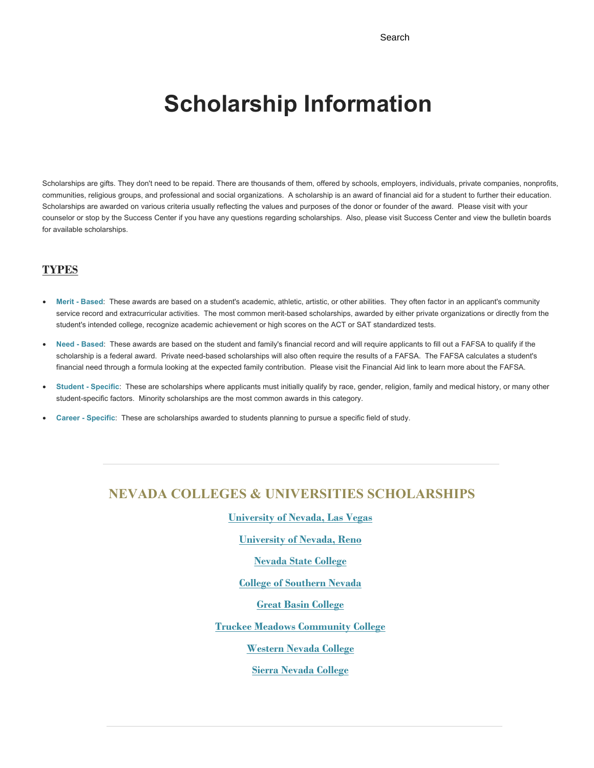# **[Scholarship Information](javascript:;)**

Scholarships are gifts. They don't need to be repaid. There are thousands of them, offered by schools, employers, individuals, private companies, nonprofits, communities, religious groups, and professional and social organizations. A scholarship is an award of financial aid for a student to further their education. Scholarships are awarded on various criteria usually reflecting the values and purposes of the donor or founder of the award. Please visit with your counselor or stop by the Success Center if you have any questions regarding scholarships. Also, please visit Success Center and view the bulletin boards for available scholarships.

## **TYPES**

- **Merit Based**: These awards are based on a student's academic, athletic, artistic, or other abilities. They often factor in an applicant's community service record and extracurricular activities. The most common merit-based scholarships, awarded by either private organizations or directly from the student's intended college, recognize academic achievement or high scores on the ACT or SAT standardized tests.
- **Need Based**: These awards are based on the student and family's financial record and will require applicants to fill out a FAFSA to qualify if the scholarship is a federal award. Private need-based scholarships will also often require the results of a FAFSA. The FAFSA calculates a student's financial need through a formula looking at the expected family contribution. Please visit the Financial Aid link to learn more about the FAFSA.
- **Student Specific**: These are scholarships where applicants must initially qualify by race, gender, religion, family and medical history, or many other student-specific factors. Minority scholarships are the most common awards in this category.
- **Career Specific**: These are scholarships awarded to students planning to pursue a specific field of study.

## **NEVADA COLLEGES & UNIVERSITIES SCHOLARSHIPS**

**[University of Nevada, Las Vegas](https://www.unlv.edu/finaid/scholarships-grants)**

**[University of Nevada, Reno](http://www.unr.edu/financial-aid/understanding-financial-aid/scholarships/university-scholarships)**

**[Nevada State College](https://www.nsc.edu/financial-aid/index.aspx)**

**[College of Southern Nevada](https://www.csn.edu/financial-aid)**

**[Great Basin College](http://www.gbcnv.edu/financial/scholarships.html)**

**[Truckee Meadows Community College](http://www.tmcc.edu/financialaid/types/scholarships/)**

**[Western Nevada College](http://www.wnc.edu/financial/scholarships-grants-loans/)**

**[Sierra Nevada College](http://www.sierranevada.edu/admissions/undergrad/financial-aid/scholarship-opportunities/)**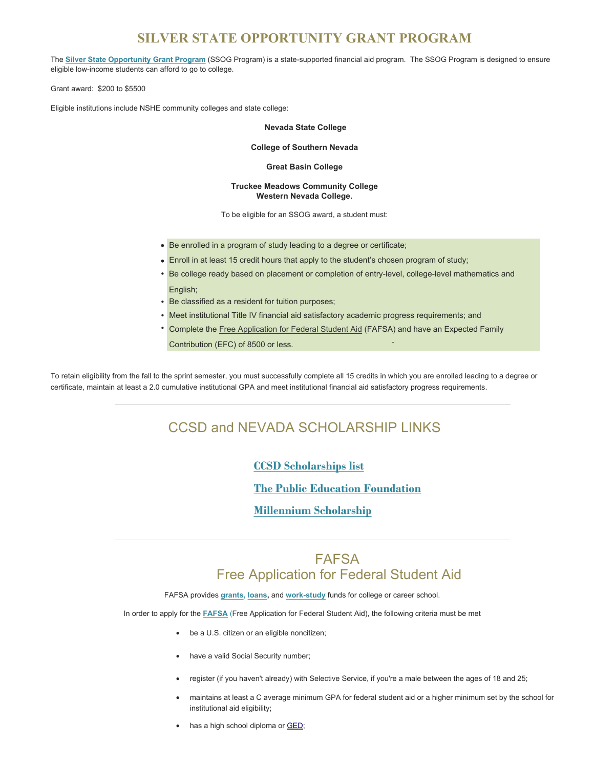## **SILVER STATE OPPORTUNITY GRANT PROGRAM**

The **[Silver State Opportunity Grant Program](https://www.nevada.edu/ir/Page.php?p=ssog)** (SSOG Program) is a state-supported financial aid program. The SSOG Program is designed to ensure eligible low-income students can afford to go to college.

#### Grant award: \$200 to \$5500

Eligible institutions include NSHE community colleges and state college:

**Nevada State College**

#### **College of Southern Nevada**

**Great Basin College**

#### **Truckee Meadows Community College Western Nevada College.**

To be eligible for an SSOG award, a student must:

- Be enrolled in a program of study leading to a degree or certificate;
- Enroll in at least 15 credit hours that apply to the student's chosen program of study;
- Be college ready based on placement or completion of entry-level, college-level mathematics and English;
- Be classified as a resident for tuition purposes;
- Meet institutional Title IV financial aid satisfactory academic progress requirements; and
- Complete the [Free Application for Federal Student Aid](https://fafsa.ed.gov/) (FAFSA) and have an Expected Family Contribution (EFC) of 8500 or less.

To retain eligibility from the fall to the sprint semester, you must successfully complete all 15 credits in which you are enrolled leading to a degree or certificate, maintain at least a 2.0 cumulative institutional GPA and meet institutional financial aid satisfactory progress requirements.

# CCSD and NEVADA SCHOLARSHIP LINKS

### **[CCSD Scholarships list](http://ccsd.net/departments/guidance-counseling/current-scholarships)**

**The Public Education Foundation** 

**Millennium Scholarship** 

# FAFSA Free Application for Federal Student Aid

FAFSA provides **[grants](https://studentaid.ed.gov/sa/types/grants-scholarships)[, loans](https://studentaid.ed.gov/sa/types/loans),** and **[work-study](https://studentaid.ed.gov/sa/types/work-study)** funds for college or career school.

In order to apply for the **[FAFSA](https://fafsa.ed.gov/)** (Free Application for Federal Student Aid), the following criteria must be met

- be a U.S. citizen or an eligible noncitizen;
- have a valid Social Security number;
- register (if you haven't already) with Selective Service, if you're a male between the ages of 18 and 25;
- maintains at least a C average minimum GPA for federal student aid or a higher minimum set by the school for institutional aid eligibility;
- has a high school diploma or **GED**;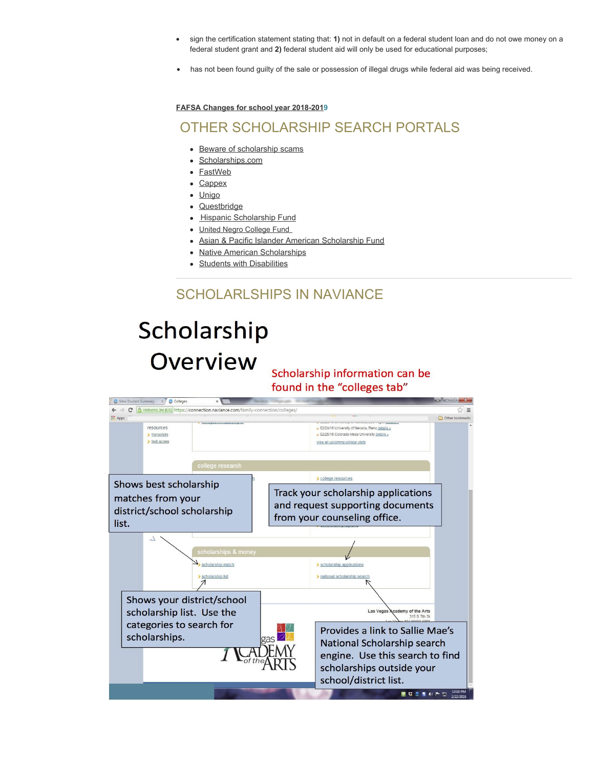- sign the certification statement stating that: **1)** not in default on a federal student loan and do not owe money on a federal student grant and **2)** federal student aid will only be used for educational purposes;
- has not been found guilty of the sale or possession of illegal drugs while federal aid was being received.

#### **[FAFSA Changes for school year 2018-2019](https://studentaid.ed.gov/sa/about/announcements/fafsa-changes)**

# OTHER SCHOLARSHIP SEARCH PORTALS

- [Beware of scholarship scams](https://www.consumer.ftc.gov/articles/0082-scholarship-and-financial-aid-scams)
- [Scholarships.com](https://www.scholarships.com/)
- [FastWeb](http://www.fastweb.com/)
- [Cappex](https://www.cappex.com/scholarships/)
- · [Unigo](https://www.unigo.com/)
- [Questbridge](https://www.questbridge.org/high-school-students)
- [Hispanic Scholarship Fund](http://www.hispanicfund.org/)
- [United Negro College Fund](https://scholarships.uncf.org/)
- [Asian & Pacific Islander American Scholarship Fund](http://www.apiasf.org/scholarships.html)
- [Native American Scholarships](http://www.aiccnc.org/scholarship.asp)
- [Students with Disabilities](https://www.disability.gov/scholarships-specifically-students-disabilities/)

## SCHOLARLSHIPS IN NAVIANCE

# Scholarship **Overview**

### Scholarship information can be found in the "colleges tab"